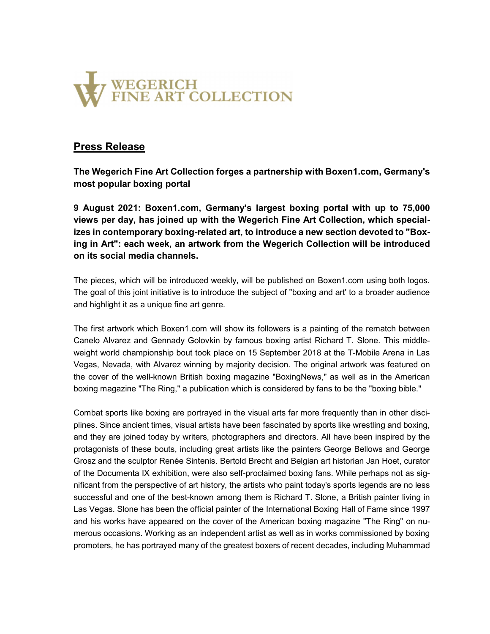

# Press Release

The Wegerich Fine Art Collection forges a partnership with Boxen1.com, Germany's most popular boxing portal

9 August 2021: Boxen1.com, Germany's largest boxing portal with up to 75,000 views per day, has joined up with the Wegerich Fine Art Collection, which specializes in contemporary boxing-related art, to introduce a new section devoted to "Boxing in Art": each week, an artwork from the Wegerich Collection will be introduced on its social media channels.

The pieces, which will be introduced weekly, will be published on Boxen1.com using both logos. The goal of this joint initiative is to introduce the subject of "boxing and art' to a broader audience and highlight it as a unique fine art genre.

The first artwork which Boxen1.com will show its followers is a painting of the rematch between Canelo Alvarez and Gennady Golovkin by famous boxing artist Richard T. Slone. This middleweight world championship bout took place on 15 September 2018 at the T-Mobile Arena in Las Vegas, Nevada, with Alvarez winning by majority decision. The original artwork was featured on the cover of the well-known British boxing magazine "BoxingNews," as well as in the American boxing magazine "The Ring," a publication which is considered by fans to be the "boxing bible."

Combat sports like boxing are portrayed in the visual arts far more frequently than in other disciplines. Since ancient times, visual artists have been fascinated by sports like wrestling and boxing, and they are joined today by writers, photographers and directors. All have been inspired by the protagonists of these bouts, including great artists like the painters George Bellows and George Grosz and the sculptor Renée Sintenis. Bertold Brecht and Belgian art historian Jan Hoet, curator of the Documenta IX exhibition, were also self-proclaimed boxing fans. While perhaps not as significant from the perspective of art history, the artists who paint today's sports legends are no less successful and one of the best-known among them is Richard T. Slone, a British painter living in Las Vegas. Slone has been the official painter of the International Boxing Hall of Fame since 1997 and his works have appeared on the cover of the American boxing magazine "The Ring" on numerous occasions. Working as an independent artist as well as in works commissioned by boxing promoters, he has portrayed many of the greatest boxers of recent decades, including Muhammad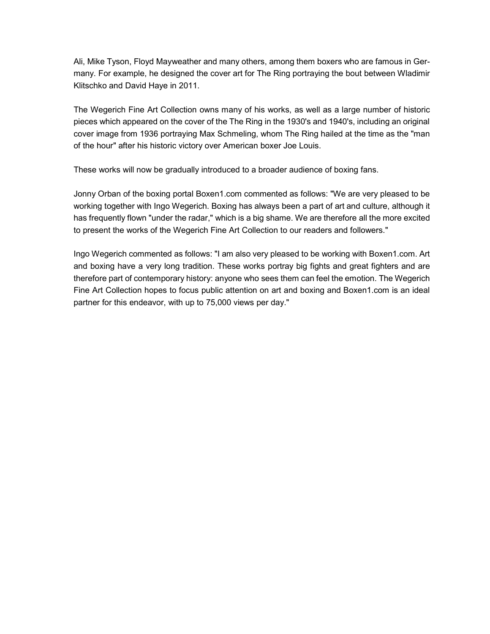Ali, Mike Tyson, Floyd Mayweather and many others, among them boxers who are famous in Germany. For example, he designed the cover art for The Ring portraying the bout between Wladimir Klitschko and David Haye in 2011.

The Wegerich Fine Art Collection owns many of his works, as well as a large number of historic pieces which appeared on the cover of the The Ring in the 1930's and 1940's, including an original cover image from 1936 portraying Max Schmeling, whom The Ring hailed at the time as the "man of the hour" after his historic victory over American boxer Joe Louis.

These works will now be gradually introduced to a broader audience of boxing fans.

Jonny Orban of the boxing portal Boxen1.com commented as follows: "We are very pleased to be working together with Ingo Wegerich. Boxing has always been a part of art and culture, although it has frequently flown "under the radar," which is a big shame. We are therefore all the more excited to present the works of the Wegerich Fine Art Collection to our readers and followers."

Ingo Wegerich commented as follows: "I am also very pleased to be working with Boxen1.com. Art and boxing have a very long tradition. These works portray big fights and great fighters and are therefore part of contemporary history: anyone who sees them can feel the emotion. The Wegerich Fine Art Collection hopes to focus public attention on art and boxing and Boxen1.com is an ideal partner for this endeavor, with up to 75,000 views per day."